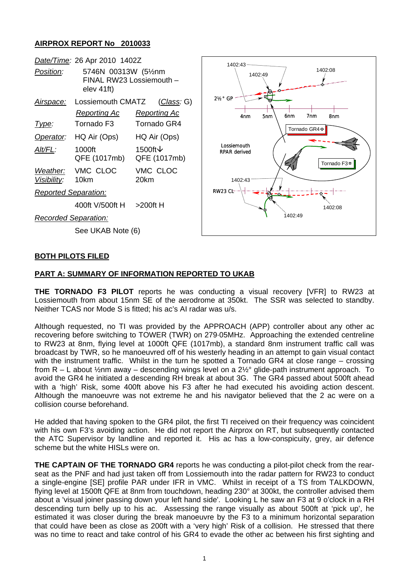## **AIRPROX REPORT No 2010033**

|                         | Date/Time: 26 Apr 2010 1402Z       |                               |
|-------------------------|------------------------------------|-------------------------------|
| Position:               | 5746N 00313W (51/2nm<br>elev 41ft) | FINAL RW23 Lossiemouth -      |
| Airspace:               | Lossiemouth CMATZ<br>Reporting Ac  | (Class: G)<br>Reporting Ac    |
| Type:                   | Tornado F <sub>3</sub>             | <b>Tornado GR4</b>            |
| Operator:               | HQ Air (Ops)                       | HQ Air (Ops)                  |
| Alt/FL:                 | 1000ft<br>QFE (1017mb)             | 1500ft $\vee$<br>QFE (1017mb) |
| Weather:<br>Visibility: | VMC CLOC<br>10km                   | VMC CLOC<br>20km              |

400ft V/500ft H >200ft H

*Recorded Separation:*

*Reported Separation:*

See UKAB Note (6)



#### **BOTH PILOTS FILED**

#### **PART A: SUMMARY OF INFORMATION REPORTED TO UKAB**

**THE TORNADO F3 PILOT** reports he was conducting a visual recovery [VFR] to RW23 at Lossiemouth from about 15nm SE of the aerodrome at 350kt. The SSR was selected to standby. Neither TCAS nor Mode S is fitted; his ac's AI radar was u/s.

Although requested, no TI was provided by the APPROACH (APP) controller about any other ac recovering before switching to TOWER (TWR) on 279·05MHz. Approaching the extended centreline to RW23 at 8nm, flying level at 1000ft QFE (1017mb), a standard 8nm instrument traffic call was broadcast by TWR, so he manoeuvred off of his westerly heading in an attempt to gain visual contact with the instrument traffic. Whilst in the turn he spotted a Tornado GR4 at close range – crossing from R – L about ½nm away – descending wings level on a 2½° glide-path instrument approach. To avoid the GR4 he initiated a descending RH break at about 3G. The GR4 passed about 500ft ahead with a 'high' Risk, some 400ft above his F3 after he had executed his avoiding action descent. Although the manoeuvre was not extreme he and his navigator believed that the 2 ac were on a collision course beforehand.

He added that having spoken to the GR4 pilot, the first TI received on their frequency was coincident with his own F3's avoiding action. He did not report the Airprox on RT, but subsequently contacted the ATC Supervisor by landline and reported it. His ac has a low-conspicuity, grey, air defence scheme but the white HISLs were on.

**THE CAPTAIN OF THE TORNADO GR4** reports he was conducting a pilot-pilot check from the rearseat as the PNF and had just taken off from Lossiemouth into the radar pattern for RW23 to conduct a single-engine [SE] profile PAR under IFR in VMC. Whilst in receipt of a TS from TALKDOWN, flying level at 1500ft QFE at 8nm from touchdown, heading 230° at 300kt, the controller advised them about a 'visual joiner passing down your left hand side'. Looking L he saw an F3 at 9 o'clock in a RH descending turn belly up to his ac. Assessing the range visually as about 500ft at 'pick up', he estimated it was closer during the break manoeuvre by the F3 to a minimum horizontal separation that could have been as close as 200ft with a 'very high' Risk of a collision. He stressed that there was no time to react and take control of his GR4 to evade the other ac between his first sighting and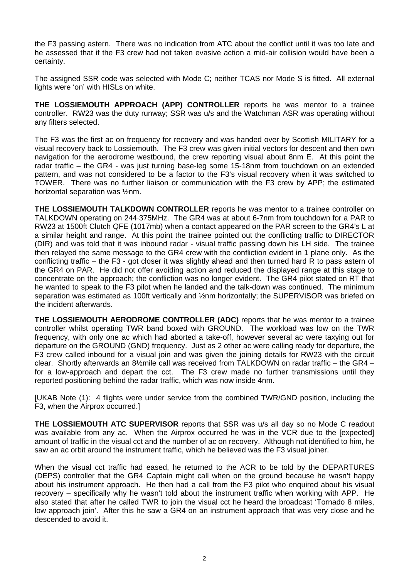the F3 passing astern. There was no indication from ATC about the conflict until it was too late and he assessed that if the F3 crew had not taken evasive action a mid-air collision would have been a certainty.

The assigned SSR code was selected with Mode C; neither TCAS nor Mode S is fitted. All external lights were 'on' with HISLs on white.

**THE LOSSIEMOUTH APPROACH (APP) CONTROLLER** reports he was mentor to a trainee controller. RW23 was the duty runway; SSR was u/s and the Watchman ASR was operating without any filters selected.

The F3 was the first ac on frequency for recovery and was handed over by Scottish MILITARY for a visual recovery back to Lossiemouth. The F3 crew was given initial vectors for descent and then own navigation for the aerodrome westbound, the crew reporting visual about 8nm E. At this point the radar traffic – the GR4 - was just turning base-leg some 15-18nm from touchdown on an extended pattern, and was not considered to be a factor to the F3's visual recovery when it was switched to TOWER. There was no further liaison or communication with the F3 crew by APP; the estimated horizontal separation was ½nm.

**THE LOSSIEMOUTH TALKDOWN CONTROLLER** reports he was mentor to a trainee controller on TALKDOWN operating on 244·375MHz. The GR4 was at about 6-7nm from touchdown for a PAR to RW23 at 1500ft Clutch QFE (1017mb) when a contact appeared on the PAR screen to the GR4's L at a similar height and range. At this point the trainee pointed out the conflicting traffic to DIRECTOR (DIR) and was told that it was inbound radar - visual traffic passing down his LH side. The trainee then relayed the same message to the GR4 crew with the confliction evident in 1 plane only. As the conflicting traffic – the F3 - got closer it was slightly ahead and then turned hard R to pass astern of the GR4 on PAR. He did not offer avoiding action and reduced the displayed range at this stage to concentrate on the approach; the confliction was no longer evident. The GR4 pilot stated on RT that he wanted to speak to the F3 pilot when he landed and the talk-down was continued. The minimum separation was estimated as 100ft vertically and 1/2nm horizontally; the SUPERVISOR was briefed on the incident afterwards.

**THE LOSSIEMOUTH AERODROME CONTROLLER (ADC)** reports that he was mentor to a trainee controller whilst operating TWR band boxed with GROUND. The workload was low on the TWR frequency, with only one ac which had aborted a take-off, however several ac were taxying out for departure on the GROUND (GND) frequency. Just as 2 other ac were calling ready for departure, the F3 crew called inbound for a visual join and was given the joining details for RW23 with the circuit clear. Shortly afterwards an 8½mile call was received from TALKDOWN on radar traffic – the GR4 – for a low-approach and depart the cct. The F3 crew made no further transmissions until they reported positioning behind the radar traffic, which was now inside 4nm.

[UKAB Note (1): 4 flights were under service from the combined TWR/GND position, including the F3, when the Airprox occurred.]

**THE LOSSIEMOUTH ATC SUPERVISOR** reports that SSR was u/s all day so no Mode C readout was available from any ac. When the Airprox occurred he was in the VCR due to the [expected] amount of traffic in the visual cct and the number of ac on recovery. Although not identified to him, he saw an ac orbit around the instrument traffic, which he believed was the F3 visual joiner.

When the visual cct traffic had eased, he returned to the ACR to be told by the DEPARTURES (DEPS) controller that the GR4 Captain might call when on the ground because he wasn't happy about his instrument approach. He then had a call from the F3 pilot who enquired about his visual recovery – specifically why he wasn't told about the instrument traffic when working with APP. He also stated that after he called TWR to join the visual cct he heard the broadcast 'Tornado 8 miles, low approach join'. After this he saw a GR4 on an instrument approach that was very close and he descended to avoid it.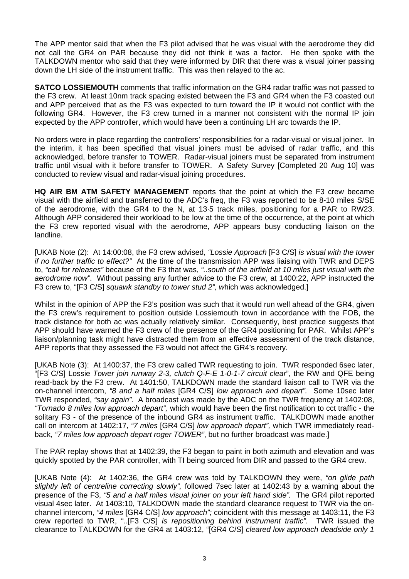The APP mentor said that when the F3 pilot advised that he was visual with the aerodrome they did not call the GR4 on PAR because they did not think it was a factor. He then spoke with the TALKDOWN mentor who said that they were informed by DIR that there was a visual joiner passing down the LH side of the instrument traffic. This was then relayed to the ac.

**SATCO LOSSIEMOUTH** comments that traffic information on the GR4 radar traffic was not passed to the F3 crew. At least 10nm track spacing existed between the F3 and GR4 when the F3 coasted out and APP perceived that as the F3 was expected to turn toward the IP it would not conflict with the following GR4. However, the F3 crew turned in a manner not consistent with the normal IP join expected by the APP controller, which would have been a continuing LH arc towards the IP.

No orders were in place regarding the controllers' responsibilities for a radar-visual or visual joiner. In the interim, it has been specified that visual joiners must be advised of radar traffic, and this acknowledged, before transfer to TOWER. Radar-visual joiners must be separated from instrument traffic until visual with it before transfer to TOWER. A Safety Survey [Completed 20 Aug 10] was conducted to review visual and radar-visual joining procedures.

**HQ AIR BM ATM SAFETY MANAGEMENT** reports that the point at which the F3 crew became visual with the airfield and transferred to the ADC's freq, the F3 was reported to be 8-10 miles S/SE of the aerodrome, with the GR4 to the N, at 13·5 track miles, positioning for a PAR to RW23. Although APP considered their workload to be low at the time of the occurrence, at the point at which the F3 crew reported visual with the aerodrome, APP appears busy conducting liaison on the landline.

[UKAB Note (2): At 14:00:08, the F3 crew advised, *"Lossie Approach* [F3 C/S] *is visual with the tower if no further traffic to effect?"* At the time of the transmission APP was liaising with TWR and DEPS to, *"call for releases"* because of the F3 that was, *"..south of the airfield at 10 miles just visual with the aerodrome now"*. Without passing any further advice to the F3 crew, at 1400:22, APP instructed the F3 crew to, "[F3 C/S] *squawk standby to tower stud 2", w*hich was acknowledged.]

Whilst in the opinion of APP the F3's position was such that it would run well ahead of the GR4, given the F3 crew's requirement to position outside Lossiemouth town in accordance with the FOB, the track distance for both ac was actually relatively similar. Consequently, best practice suggests that APP should have warned the F3 crew of the presence of the GR4 positioning for PAR. Whilst APP's liaison/planning task might have distracted them from an effective assessment of the track distance, APP reports that they assessed the F3 would not affect the GR4's recovery.

[UKAB Note (3): At 1400:37, the F3 crew called TWR requesting to join. TWR responded 6sec later, "[F3 C/S] Lossie *Tower join runway 2-3, clutch Q-F-E 1-0-1-7 circuit clear*", the RW and QFE being read-back by the F3 crew. At 1401:50, TALKDOWN made the standard liaison call to TWR via the on-channel intercom, *"8 and a half miles* [GR4 C/S] *low approach and depart".* Some 10sec later TWR responded, *"say again".* A broadcast was made by the ADC on the TWR frequency at 1402:08, *"Tornado 8 miles low approach depart",* which would have been the first notification to cct traffic - the solitary F3 - of the presence of the inbound GR4 as instrument traffic.TALKDOWN made another call on intercom at 1402:17, *"7 miles* [GR4 C/S] *low approach depart",* which TWR immediately readback, *"7 miles low approach depart roger TOWER"*, but no further broadcast was made.]

The PAR replay shows that at 1402:39, the F3 began to paint in both azimuth and elevation and was quickly spotted by the PAR controller, with TI being sourced from DIR and passed to the GR4 crew.

[UKAB Note (4): At 1402:36, the GR4 crew was told by TALKDOWN they were, *"on glide path slightly left of centreline correcting slowly",* followed 7sec later at 1402:43 by a warning about the presence of the F3, *"5 and a half miles visual joiner on your left hand side".* The GR4 pilot reported visual 4sec later. At 1403:10, TALKDOWN made the standard clearance request to TWR via the onchannel intercom, *"4 miles* [GR4 C/S] *low approach";* coincident with this message at 1403:11, the F3 crew reported to TWR, "..[F3 C/S] *is repositioning behind instrument traffic".* TWR issued the clearance to TALKDOWN for the GR4 at 1403:12, "[GR4 C/S] *cleared low approach deadside only 1*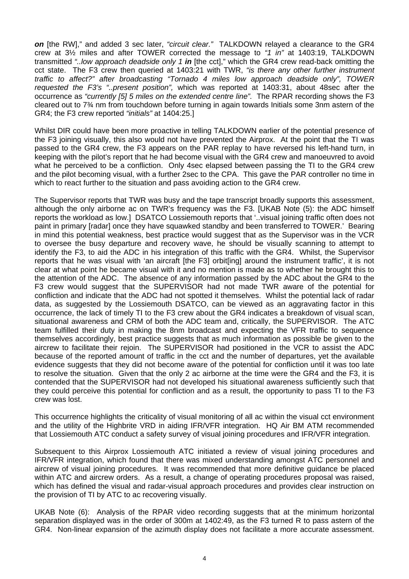*on* [the RW]," and added 3 sec later, *"circuit clear."* TALKDOWN relayed a clearance to the GR4 crew at 3½ miles and after TOWER corrected the message to *"1 in"* at 1403:19, TALKDOWN transmitted *"..low approach deadside only 1 in* [the cct]," which the GR4 crew read-back omitting the cct state. The F3 crew then queried at 1403:21 with TWR, *"is there any other further instrument traffic to affect?" after broadcasting "Tornado 4 miles low approach deadside only", TOWER requested the F3's "..present position",* which was reported at 1403:31, about 48sec after the occurrence as *"currently [5] 5 miles on the extended centre line".* The RPAR recording shows the F3 cleared out to 7¾ nm from touchdown before turning in again towards Initials some 3nm astern of the GR4; the F3 crew reported *"initials"* at 1404:25.]

Whilst DIR could have been more proactive in telling TALKDOWN earlier of the potential presence of the F3 joining visually, this also would not have prevented the Airprox. At the point that the TI was passed to the GR4 crew, the F3 appears on the PAR replay to have reversed his left-hand turn, in keeping with the pilot's report that he had become visual with the GR4 crew and manoeuvred to avoid what he perceived to be a confliction. Only 4sec elapsed between passing the TI to the GR4 crew and the pilot becoming visual, with a further 2sec to the CPA. This gave the PAR controller no time in which to react further to the situation and pass avoiding action to the GR4 crew.

The Supervisor reports that TWR was busy and the tape transcript broadly supports this assessment, although the only airborne ac on TWR's frequency was the F3. [UKAB Note (5): the ADC himself reports the workload as low.] DSATCO Lossiemouth reports that '..visual joining traffic often does not paint in primary [radar] once they have squawked standby and been transferred to TOWER.' Bearing in mind this potential weakness, best practice would suggest that as the Supervisor was in the VCR to oversee the busy departure and recovery wave, he should be visually scanning to attempt to identify the F3, to aid the ADC in his integration of this traffic with the GR4. Whilst, the Supervisor reports that he was visual with 'an aircraft [the F3] orbit[ing] around the instrument traffic', it is not clear at what point he became visual with it and no mention is made as to whether he brought this to the attention of the ADC. The absence of any information passed by the ADC about the GR4 to the F3 crew would suggest that the SUPERVISOR had not made TWR aware of the potential for confliction and indicate that the ADC had not spotted it themselves. Whilst the potential lack of radar data, as suggested by the Lossiemouth DSATCO, can be viewed as an aggravating factor in this occurrence, the lack of timely TI to the F3 crew about the GR4 indicates a breakdown of visual scan, situational awareness and CRM of both the ADC team and, critically, the SUPERVISOR. The ATC team fulfilled their duty in making the 8nm broadcast and expecting the VFR traffic to sequence themselves accordingly, best practice suggests that as much information as possible be given to the aircrew to facilitate their rejoin. The SUPERVISOR had positioned in the VCR to assist the ADC because of the reported amount of traffic in the cct and the number of departures, yet the available evidence suggests that they did not become aware of the potential for confliction until it was too late to resolve the situation. Given that the only 2 ac airborne at the time were the GR4 and the F3, it is contended that the SUPERVISOR had not developed his situational awareness sufficiently such that they could perceive this potential for confliction and as a result, the opportunity to pass TI to the F3 crew was lost.

This occurrence highlights the criticality of visual monitoring of all ac within the visual cct environment and the utility of the Highbrite VRD in aiding IFR/VFR integration. HQ Air BM ATM recommended that Lossiemouth ATC conduct a safety survey of visual joining procedures and IFR/VFR integration.

Subsequent to this Airprox Lossiemouth ATC initiated a review of visual joining procedures and IFR/VFR integration, which found that there was mixed understanding amongst ATC personnel and aircrew of visual joining procedures. It was recommended that more definitive guidance be placed within ATC and aircrew orders. As a result, a change of operating procedures proposal was raised, which has defined the visual and radar-visual approach procedures and provides clear instruction on the provision of TI by ATC to ac recovering visually.

UKAB Note (6): Analysis of the RPAR video recording suggests that at the minimum horizontal separation displayed was in the order of 300m at 1402:49, as the F3 turned R to pass astern of the GR4. Non-linear expansion of the azimuth display does not facilitate a more accurate assessment.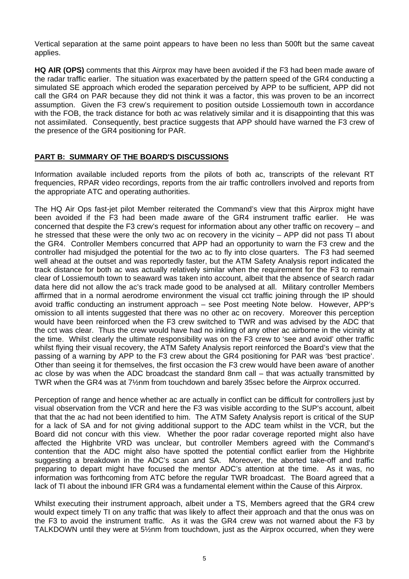Vertical separation at the same point appears to have been no less than 500ft but the same caveat applies.

**HQ AIR (OPS)** comments that this Airprox may have been avoided if the F3 had been made aware of the radar traffic earlier. The situation was exacerbated by the pattern speed of the GR4 conducting a simulated SE approach which eroded the separation perceived by APP to be sufficient, APP did not call the GR4 on PAR because they did not think it was a factor, this was proven to be an incorrect assumption. Given the F3 crew's requirement to position outside Lossiemouth town in accordance with the FOB, the track distance for both ac was relatively similar and it is disappointing that this was not assimilated. Consequently, best practice suggests that APP should have warned the F3 crew of the presence of the GR4 positioning for PAR.

## **PART B: SUMMARY OF THE BOARD'S DISCUSSIONS**

Information available included reports from the pilots of both ac, transcripts of the relevant RT frequencies, RPAR video recordings, reports from the air traffic controllers involved and reports from the appropriate ATC and operating authorities.

The HQ Air Ops fast-jet pilot Member reiterated the Command's view that this Airprox might have been avoided if the F3 had been made aware of the GR4 instrument traffic earlier. He was concerned that despite the F3 crew's request for information about any other traffic on recovery – and he stressed that these were the only two ac on recovery in the vicinity – APP did not pass TI about the GR4. Controller Members concurred that APP had an opportunity to warn the F3 crew and the controller had misjudged the potential for the two ac to fly into close quarters. The F3 had seemed well ahead at the outset and was reportedly faster, but the ATM Safety Analysis report indicated the track distance for both ac was actually relatively similar when the requirement for the F3 to remain clear of Lossiemouth town to seaward was taken into account, albeit that the absence of search radar data here did not allow the ac's track made good to be analysed at all. Military controller Members affirmed that in a normal aerodrome environment the visual cct traffic joining through the IP should avoid traffic conducting an instrument approach – see Post meeting Note below. However, APP's omission to all intents suggested that there was no other ac on recovery. Moreover this perception would have been reinforced when the F3 crew switched to TWR and was advised by the ADC that the cct was clear. Thus the crew would have had no inkling of any other ac airborne in the vicinity at the time. Whilst clearly the ultimate responsibility was on the F3 crew to 'see and avoid' other traffic whilst flying their visual recovery, the ATM Safety Analysis report reinforced the Board's view that the passing of a warning by APP to the F3 crew about the GR4 positioning for PAR was 'best practice'. Other than seeing it for themselves, the first occasion the F3 crew would have been aware of another ac close by was when the ADC broadcast the standard 8nm call – that was actually transmitted by TWR when the GR4 was at 7½nm from touchdown and barely 35sec before the Airprox occurred.

Perception of range and hence whether ac are actually in conflict can be difficult for controllers just by visual observation from the VCR and here the F3 was visible according to the SUP's account, albeit that that the ac had not been identified to him. The ATM Safety Analysis report is critical of the SUP for a lack of SA and for not giving additional support to the ADC team whilst in the VCR, but the Board did not concur with this view. Whether the poor radar coverage reported might also have affected the Highbrite VRD was unclear, but controller Members agreed with the Command's contention that the ADC might also have spotted the potential conflict earlier from the Highbrite suggesting a breakdown in the ADC's scan and SA. Moreover, the aborted take-off and traffic preparing to depart might have focused the mentor ADC's attention at the time. As it was, no information was forthcoming from ATC before the regular TWR broadcast. The Board agreed that a lack of TI about the inbound IFR GR4 was a fundamental element within the Cause of this Airprox.

Whilst executing their instrument approach, albeit under a TS, Members agreed that the GR4 crew would expect timely TI on any traffic that was likely to affect their approach and that the onus was on the F3 to avoid the instrument traffic. As it was the GR4 crew was not warned about the F3 by TALKDOWN until they were at 5½nm from touchdown, just as the Airprox occurred, when they were